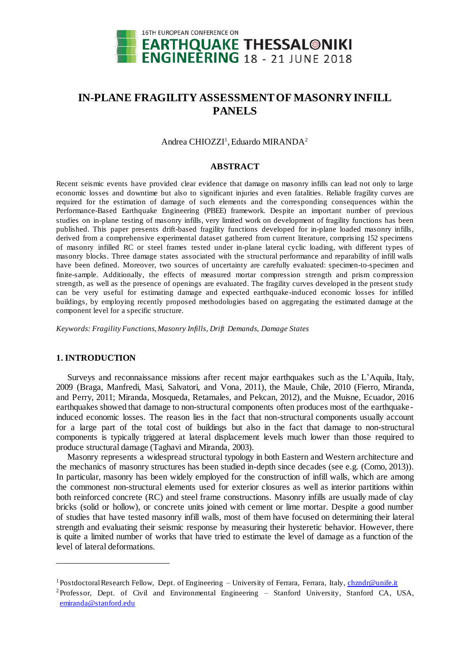

# **IN-PLANE FRAGILITY ASSESSMENT OF MASONRYINFILL PANELS**

Andrea CHIOZZI<sup>1</sup>, Eduardo MIRANDA<sup>2</sup>

#### **ABSTRACT**

Recent seismic events have provided clear evidence that damage on masonry infills can lead not only to large economic losses and downtime but also to significant injuries and even fatalities. Reliable fragility curves are required for the estimation of damage of such elements and the corresponding consequences within the Performance-Based Earthquake Engineering (PBEE) framework. Despite an important number of previous studies on in-plane testing of masonry infills, very limited work on development of fragility functions has been published. This paper presents drift-based fragility functions developed for in-plane loaded masonry infills, derived from a comprehensive experimental dataset gathered from current literature, comprising 152 specimens of masonry infilled RC or steel frames tested under in-plane lateral cyclic loading, with different types of masonry blocks. Three damage states associated with the structural performance and reparability of infill walls have been defined. Moreover, two sources of uncertainty are carefully evaluated: specimen-to-specimen and finite-sample. Additionally, the effects of measured mortar compression strength and prism compression strength, as well as the presence of openings are evaluated. The fragility curves developed in the present study can be very useful for estimating damage and expected earthquake-induced economic losses for infilled buildings, by employing recently proposed methodologies based on aggregating the estimated damage at the component level for a specific structure.

*Keywords: Fragility Functions, Masonry Infills, Drift Demands, Damage States*

#### **1. INTRODUCTION**

l

Surveys and reconnaissance missions after recent major earthquakes such as the L'Aquila, Italy, 2009 (Braga, Manfredi, Masi, Salvatori, and Vona, 2011), the Maule, Chile, 2010 (Fierro, Miranda, and Perry, 2011; Miranda, Mosqueda, Retamales, and Pekcan, 2012), and the Muisne, Ecuador, 2016 earthquakes showed that damage to non-structural components often produces most of the earthquakeinduced economic losses. The reason lies in the fact that non-structural components usually account for a large part of the total cost of buildings but also in the fact that damage to non-structural components is typically triggered at lateral displacement levels much lower than those required to produce structural damage (Taghavi and Miranda, 2003).

Masonry represents a widespread structural typology in both Eastern and Western architecture and the mechanics of masonry structures has been studied in-depth since decades (see e.g. (Como, 2013)). In particular, masonry has been widely employed for the construction of infill walls, which are among the commonest non-structural elements used for exterior closures as well as interior partitions within both reinforced concrete (RC) and steel frame constructions. Masonry infills are usually made of clay bricks (solid or hollow), or concrete units joined with cement or lime mortar. Despite a good number of studies that have tested masonry infill walls, most of them have focused on determining their lateral strength and evaluating their seismic response by measuring their hysteretic behavior. However, there is quite a limited number of works that have tried to estimate the level of damage as a function of the level of lateral deformations.

<sup>&</sup>lt;sup>1</sup> Postdoctoral Research Fellow, Dept. of Engineering – University of Ferrara, Ferrara, Italy[, chzndr@unife.it](mailto:chzndr@unife.it)

<sup>&</sup>lt;sup>2</sup>Professor, Dept. of Civil and Environmental Engineering – Stanford University, Stanford CA, USA, [emiranda@stanford.edu](mailto:emiranda@stanford.edu)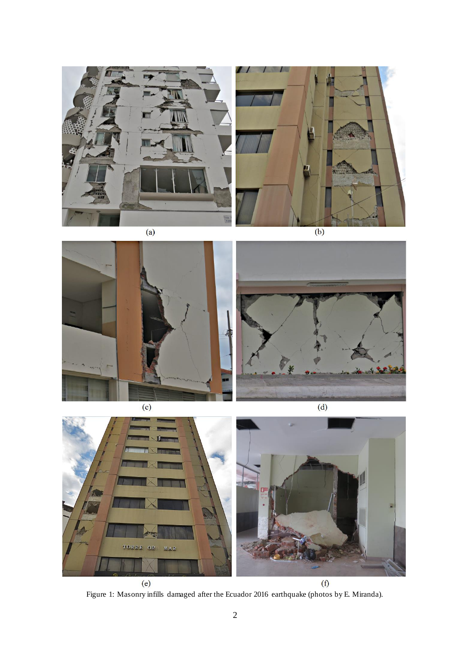



 $\overline{a}$ 

 $\overline{(b)}$ 





Figure 1: Masonry infills damaged after the Ecuador 2016 earthquake (photos by E. Miranda).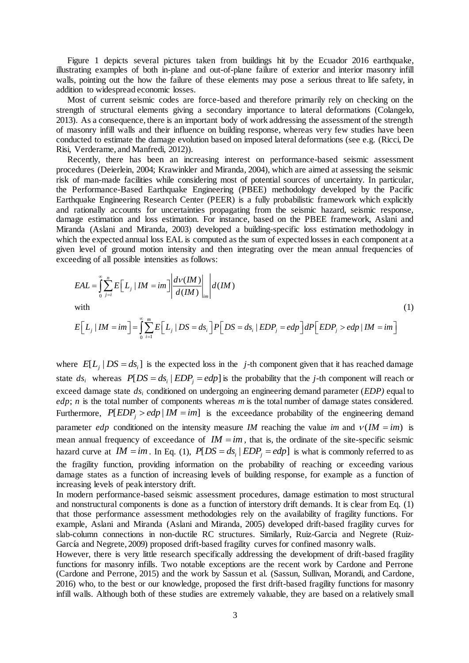Figure 1 depicts several pictures taken from buildings hit by the Ecuador 2016 earthquake, illustrating examples of both in-plane and out-of-plane failure of exterior and interior masonry infill walls, pointing out the how the failure of these elements may pose a serious threat to life safety, in addition to widespread economic losses.

Most of current seismic codes are force-based and therefore primarily rely on checking on the strength of structural elements giving a secondary importance to lateral deformations (Colangelo, 2013). As a consequence, there is an important body of work addressing the assessment of the strength of masonry infill walls and their influence on building response, whereas very few studies have been conducted to estimate the damage evolution based on imposed lateral deformations (see e.g. (Ricci, De Risi, Verderame, and Manfredi, 2012)).

Recently, there has been an increasing interest on performance-based seismic assessment procedures (Deierlein, 2004; Krawinkler and Miranda, 2004), which are aimed at assessing the seismic risk of man-made facilities while considering most of potential sources of uncertainty. In particular, the Performance-Based Earthquake Engineering (PBEE) methodology developed by the Pacific Earthquake Engineering Research Center (PEER) is a fully probabilistic framework which explicitly and rationally accounts for uncertainties propagating from the seismic hazard, seismic response, damage estimation and loss estimation. For instance, based on the PBEE framework, Aslani and Miranda (Aslani and Miranda, 2003) developed a building-specific loss estimation methodology in which the expected annual loss EAL is computed as the sum of expected losses in each component at a given level of ground motion intensity and then integrating over the mean annual frequencies of exceeding of all possible intensities as follows:

$$
EAL = \int_{0}^{\infty} \sum_{j=i}^{n} E\Big[L_j | IM = im\Big] \left| \frac{d\nu(IM)}{d(IM)} \right|_{im} \Big| d(IM)
$$
  
with  

$$
E\Big[L_j | IM = im\Big] = \int_{0}^{\infty} \sum_{j=1}^{m} E\Big[L_j | DS = ds_i\Big] P\Big[ DS = ds_i | EDP_j = edp \Big] dP\Big[ EDP_j > edp | IM = im\Big]
$$
 (1)

where 
$$
E[L_j | DS = ds_i]
$$
 is the expected loss in the *j*-th component given that it has reached damage  
state  $ds_i$  whereas  $P[DS = ds_i | EDP_j = edp]$  is the probability that the *j*-th component will reach or exceed damage state  $ds_i$  conditioned on undergoing an engineering demand parameter *(EDP)* equal to

*edp*; *n* is the total number of components whereas *m* is the total number of damage states considered. Furthermore,  $P[EDP_j > edp | IM = im]$  is the exceedance probability of the engineering demand parameter *edp* conditioned on the intensity measure *IM* reaching the value *im* and  $v(1M = im)$  is mean annual frequency of exceedance of  $IM = im$ , that is, the ordinate of the site-specific seismic hazard curve at  $IM = im$ . In Eq. (1),  $P[DS = ds_i | EDP_j = edp]$  is what is commonly referred to as the fragility function, providing information on the probability of reaching or exceeding various damage states as a function of increasing levels of building response, for example as a function of increasing levels of peak interstory drift.

In modern performance-based seismic assessment procedures, damage estimation to most structural and nonstructural components is done as a function of interstory drift demands. It is clear from Eq. (1) that those performance assessment methodologies rely on the availability of fragility functions. For example, Aslani and Miranda (Aslani and Miranda, 2005) developed drift-based fragility curves for slab-column connections in non-ductile RC structures. Similarly, Ruiz-Garcia and Negrete (Ruiz-García and Negrete, 2009) proposed drift-based fragility curves for confined masonry walls.

However, there is very little research specifically addressing the development of drift-based fragility functions for masonry infills. Two notable exceptions are the recent work by Cardone and Perrone (Cardone and Perrone, 2015) and the work by Sassun et al. (Sassun, Sullivan, Morandi, and Cardone, 2016) who, to the best or our knowledge, proposed the first drift-based fragility functions for masonry infill walls. Although both of these studies are extremely valuable, they are based on a relatively small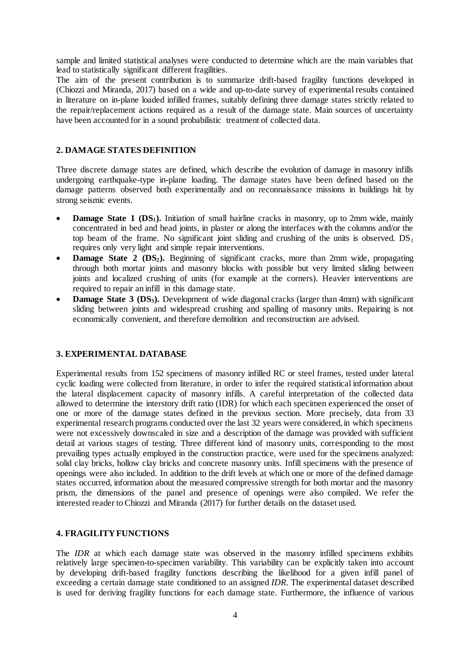sample and limited statistical analyses were conducted to determine which are the main variables that lead to statistically significant different fragilities.

The aim of the present contribution is to summarize drift-based fragility functions developed in (Chiozzi and Miranda, 2017) based on a wide and up-to-date survey of experimental results contained in literature on in-plane loaded infilled frames, suitably defining three damage states strictly related to the repair/replacement actions required as a result of the damage state. Main sources of uncertainty have been accounted for in a sound probabilistic treatment of collected data.

#### **2. DAMAGE STATES DEFINITION**

Three discrete damage states are defined, which describe the evolution of damage in masonry infills undergoing earthquake-type in-plane loading. The damage states have been defined based on the damage patterns observed both experimentally and on reconnaissance missions in buildings hit by strong seismic events.

- **Damage State 1 (DS<sub>1</sub>).** Initiation of small hairline cracks in masonry, up to 2mm wide, mainly concentrated in bed and head joints, in plaster or along the interfaces with the columns and/or the top beam of the frame. No significant joint sliding and crushing of the units is observed.  $DS_1$ requires only very light and simple repair interventions.
- **Damage State 2 (DS<sub>2</sub>).** Beginning of significant cracks, more than 2mm wide, propagating through both mortar joints and masonry blocks with possible but very limited sliding between joints and localized crushing of units (for example at the corners). Heavier interventions are required to repair an infill in this damage state.
- **Damage State 3 (DS3).** Development of wide diagonal cracks (larger than 4mm) with significant sliding between joints and widespread crushing and spalling of masonry units. Repairing is not economically convenient, and therefore demolition and reconstruction are advised.

#### **3. EXPERIMENTAL DATABASE**

Experimental results from 152 specimens of masonry infilled RC or steel frames, tested under lateral cyclic loading were collected from literature, in order to infer the required statistical information about the lateral displacement capacity of masonry infills. A careful interpretation of the collected data allowed to determine the interstory drift ratio (IDR) for which each specimen experienced the onset of one or more of the damage states defined in the previous section. More precisely, data from 33 experimental research programs conducted over the last 32 years were considered, in which specimens were not excessively downscaled in size and a description of the damage was provided with sufficient detail at various stages of testing. Three different kind of masonry units, corresponding to the most prevailing types actually employed in the construction practice, were used for the specimens analyzed: solid clay bricks, hollow clay bricks and concrete masonry units. Infill specimens with the presence of openings were also included. In addition to the drift levels at which one or more of the defined damage states occurred, information about the measured compressive strength for both mortar and the masonry prism, the dimensions of the panel and presence of openings were also compiled. We refer the interested reader to Chiozzi and Miranda (2017) for further details on the dataset used.

#### **4. FRAGILITY FUNCTIONS**

The *IDR* at which each damage state was observed in the masonry infilled specimens exhibits relatively large specimen-to-specimen variability. This variability can be explicitly taken into account by developing drift-based fragility functions describing the likelihood for a given infill panel of exceeding a certain damage state conditioned to an assigned *IDR*. The experimental dataset described is used for deriving fragility functions for each damage state. Furthermore, the influence of various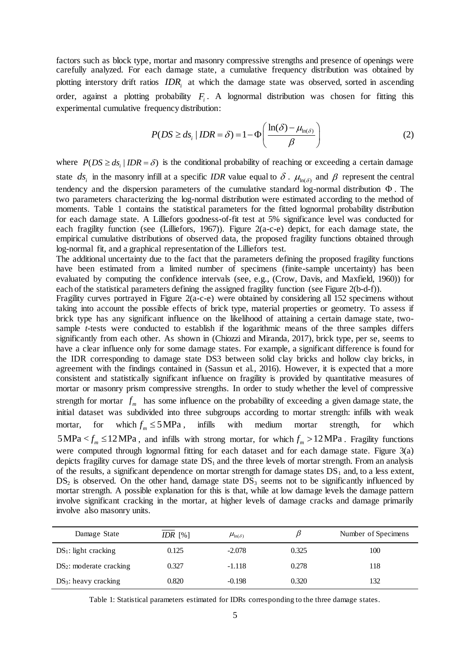factors such as block type, mortar and masonry compressive strengths and presence of openings were carefully analyzed. For each damage state, a cumulative frequency distribution was obtained by plotting interstory drift ratios *IDR*<sub>i</sub> at which the damage state was observed, sorted in ascending order, against a plotting probability *Fi* . A lognormal distribution was chosen for fitting this experimental cumulative frequency distribution:

equency distribution:  
\n
$$
P(DS \ge ds_i | IDR = \delta) = 1 - \Phi\left(\frac{\ln(\delta) - \mu_{\ln(\delta)}}{\beta}\right)
$$
\n(2)

where  $P(DS \geq ds_i | IDR = \delta)$  is the conditional probability of reaching or exceeding a certain damage state  $ds_i$  in the masonry infill at a specific *IDR* value equal to  $\delta$ .  $\mu_{\ln(\delta)}$  and  $\beta$  represent the central tendency and the dispersion parameters of the cumulative standard log-normal distribution  $\Phi$ . The two parameters characterizing the log-normal distribution were estimated according to the method of moments. [Table 1](#page-4-0) contains the statistical parameters for the fitted lognormal probability distribution for each damage state. A Lilliefors goodness-of-fit test at 5% significance level was conducted for each fragility function (see (Lilliefors, 1967)). [Figure 2\(](#page-5-0)a-c-e) depict, for each damage state, the empirical cumulative distributions of observed data, the proposed fragility functions obtained through log-normal fit, and a graphical representation of the Lilliefors test.

The additional uncertainty due to the fact that the parameters defining the proposed fragility functions have been estimated from a limited number of specimens (finite-sample uncertainty) has been evaluated by computing the confidence intervals (see, e.g., (Crow, Davis, and Maxfield, 1960)) for each of the statistical parameters defining the assigned fragility function (se[e Figure 2\(](#page-5-0)b-d-f)).

Fragility curves portrayed in [Figure 2\(](#page-5-0)a-c-e) were obtained by considering all 152 specimens without taking into account the possible effects of brick type, material properties or geometry. To assess if brick type has any significant influence on the likelihood of attaining a certain damage state, twosample *t*-tests were conducted to establish if the logarithmic means of the three samples differs significantly from each other. As shown in (Chiozzi and Miranda, 2017), brick type, per se, seems to have a clear influence only for some damage states. For example, a significant difference is found for the IDR corresponding to damage state DS3 between solid clay bricks and hollow clay bricks, in agreement with the findings contained in (Sassun et al., 2016). However, it is expected that a more consistent and statistically significant influence on fragility is provided by quantitative measures of mortar or masonry prism compressive strengths. In order to study whether the level of compressive strength for mortar  $f_m$  has some influence on the probability of exceeding a given damage state, the initial dataset was subdivided into three subgroups according to mortar strength: infills with weak mortar, for  $f_m \leq 5 \text{ MPa}$ , infills with medium mortar strength, for which  $5 MPa < f_m \leq 12 MPa$ , and infills with strong mortar, for which  $f_m > 12 MPa$ . Fragility functions were computed through lognormal fitting for each dataset and for each damage state. [Figure 3\(](#page-6-0)a) depicts fragility curves for damage state  $DS<sub>1</sub>$  and the three levels of mortar strength. From an analysis of the results, a significant dependence on mortar strength for damage states  $DS_1$  and, to a less extent,  $DS<sub>2</sub>$  is observed. On the other hand, damage state  $DS<sub>3</sub>$  seems not to be significantly influenced by mortar strength. A possible explanation for this is that, while at low damage levels the damage pattern involve significant cracking in the mortar, at higher levels of damage cracks and damage primarily involve also masonry units.

| Damage State               | IDR $[%]$ | $\mu_{\ln(\delta)}$ |       | Number of Specimens |
|----------------------------|-----------|---------------------|-------|---------------------|
| $DS_1$ : light cracking    | 0.125     | $-2.078$            | 0.325 | 100                 |
| $DS_2$ : moderate cracking | 0.327     | $-1.118$            | 0.278 | 118                 |
| $DS_3$ : heavy cracking    | 0.820     | $-0.198$            | 0.320 | 132                 |

<span id="page-4-0"></span>Table 1: Statistical parameters estimated for IDRs corresponding to the three damage states.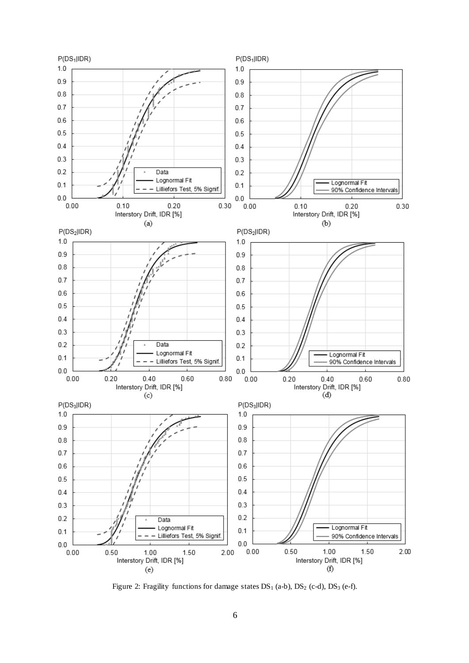

<span id="page-5-0"></span>Figure 2: Fragility functions for damage states DS<sub>1</sub> (a-b), DS<sub>2</sub> (c-d), DS<sub>3</sub> (e-f).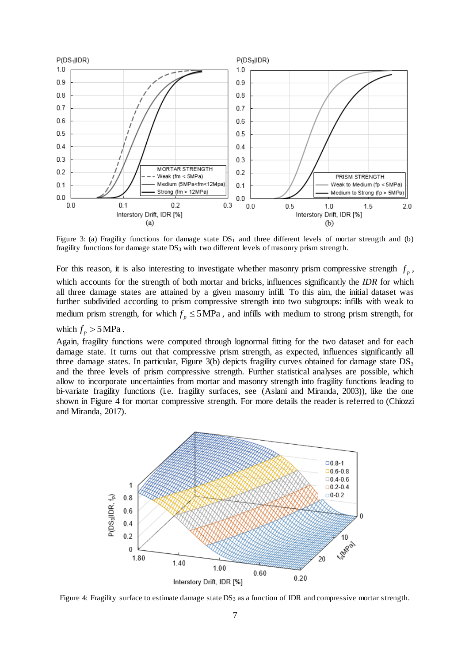

<span id="page-6-0"></span>Figure 3: (a) Fragility functions for damage state  $DS_1$  and three different levels of mortar strength and (b) fragility functions for damage state DS<sub>3</sub> with two different levels of masonry prism strength.

For this reason, it is also interesting to investigate whether masonry prism compressive strength  $f_p$ , which accounts for the strength of both mortar and bricks, influences significantly the *IDR* for which all three damage states are attained by a given masonry infill. To this aim, the initial dataset was further subdivided according to prism compressive strength into two subgroups: infills with weak to medium prism strength, for which  $f_p \leq 5 \text{MPa}$ , and infills with medium to strong prism strength, for

## which  $f_p > 5 \text{ MPa}$ .

Again, fragility functions were computed through lognormal fitting for the two dataset and for each damage state. It turns out that compressive prism strength, as expected, influences significantly all three damage states. In particular[, Figure 3\(](#page-6-0)b) depicts fragility curves obtained for damage state  $DS<sub>3</sub>$ and the three levels of prism compressive strength. Further statistical analyses are possible, which allow to incorporate uncertainties from mortar and masonry strength into fragility functions leading to bi-variate fragility functions (i.e. fragility surfaces, see (Aslani and Miranda, 2003)), like the one shown in [Figure 4](#page-6-1) for mortar compressive strength. For more details the reader is referred to (Chiozzi and Miranda, 2017).



<span id="page-6-1"></span>Figure 4: Fragility surface to estimate damage state DS<sub>3</sub> as a function of IDR and compressive mortar strength.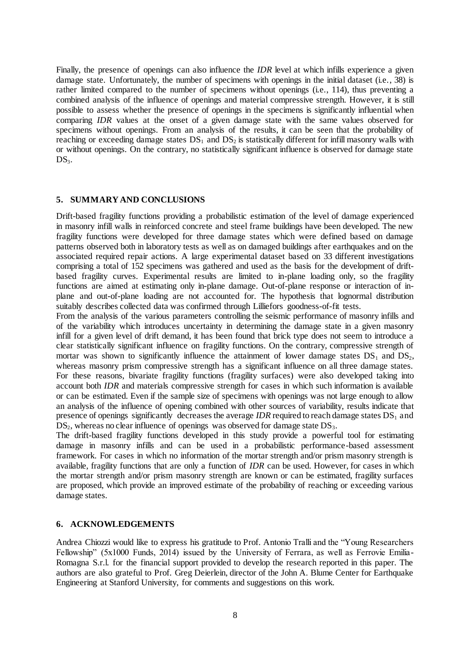Finally, the presence of openings can also influence the *IDR* level at which infills experience a given damage state. Unfortunately, the number of specimens with openings in the initial dataset (i.e., 38) is rather limited compared to the number of specimens without openings (i.e., 114), thus preventing a combined analysis of the influence of openings and material compressive strength. However, it is still possible to assess whether the presence of openings in the specimens is significantly influential when comparing *IDR* values at the onset of a given damage state with the same values observed for specimens without openings. From an analysis of the results, it can be seen that the probability of reaching or exceeding damage states  $DS_1$  and  $DS_2$  is statistically different for infill masonry walls with or without openings. On the contrary, no statistically significant influence is observed for damage state  $DS<sub>3</sub>$ .

#### **5. SUMMARY AND CONCLUSIONS**

Drift-based fragility functions providing a probabilistic estimation of the level of damage experienced in masonry infill walls in reinforced concrete and steel frame buildings have been developed. The new fragility functions were developed for three damage states which were defined based on damage patterns observed both in laboratory tests as well as on damaged buildings after earthquakes and on the associated required repair actions. A large experimental dataset based on 33 different investigations comprising a total of 152 specimens was gathered and used as the basis for the development of driftbased fragility curves. Experimental results are limited to in-plane loading only, so the fragility functions are aimed at estimating only in-plane damage. Out-of-plane response or interaction of inplane and out-of-plane loading are not accounted for. The hypothesis that lognormal distribution suitably describes collected data was confirmed through Lilliefors goodness-of-fit tests.

From the analysis of the various parameters controlling the seismic performance of masonry infills and of the variability which introduces uncertainty in determining the damage state in a given masonry infill for a given level of drift demand, it has been found that brick type does not seem to introduce a clear statistically significant influence on fragility functions. On the contrary, compressive strength of mortar was shown to significantly influence the attainment of lower damage states  $DS<sub>1</sub>$  and  $DS<sub>2</sub>$ , whereas masonry prism compressive strength has a significant influence on all three damage states. For these reasons, bivariate fragility functions (fragility surfaces) were also developed taking into account both *IDR* and materials compressive strength for cases in which such information is available or can be estimated. Even if the sample size of specimens with openings was not large enough to allow an analysis of the influence of opening combined with other sources of variability, results indicate that presence of openings significantly decreases the average *IDR* required to reach damage states  $DS_1$  and  $DS<sub>2</sub>$ , whereas no clear influence of openings was observed for damage state  $DS<sub>3</sub>$ .

The drift-based fragility functions developed in this study provide a powerful tool for estimating damage in masonry infills and can be used in a probabilistic performance-based assessment framework. For cases in which no information of the mortar strength and/or prism masonry strength is available, fragility functions that are only a function of *IDR* can be used. However, for cases in which the mortar strength and/or prism masonry strength are known or can be estimated, fragility surfaces are proposed, which provide an improved estimate of the probability of reaching or exceeding various damage states.

### **6. ACKNOWLEDGEMENTS**

Andrea Chiozzi would like to express his gratitude to Prof. Antonio Tralli and the "Young Researchers Fellowship" (5x1000 Funds, 2014) issued by the University of Ferrara, as well as Ferrovie Emilia-Romagna S.r.l. for the financial support provided to develop the research reported in this paper. The authors are also grateful to Prof. Greg Deierlein, director of the John A. Blume Center for Earthquake Engineering at Stanford University, for comments and suggestions on this work.